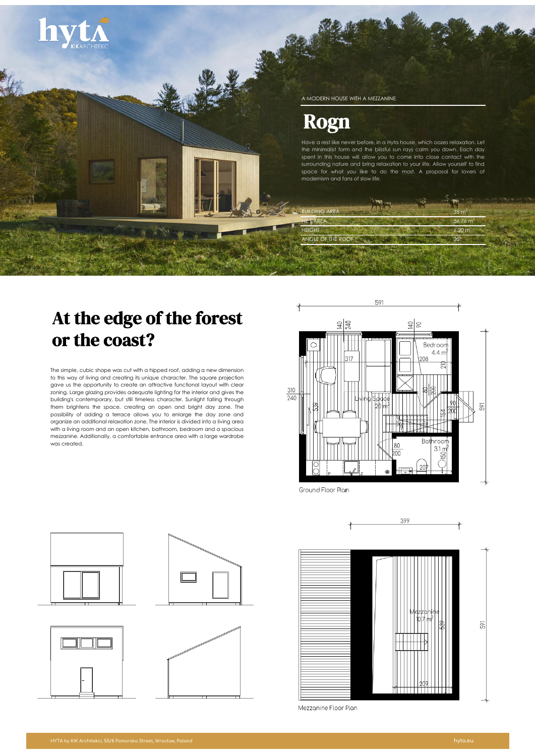

# At the edge of the forest or the coast?

The simple, cubic shape was cut with a hipped roof, adding a new dimension to this way of living and creating its unique character. The square projection gave us the opportunity to create an attractive functional layout with clear zoning. Large glazing provides adequate lighting for the interior and gives the building's contemporary, but still timeless character. Sunlight falling through them brightens the space, creating an open and bright day zone. The possibility of adding a terrace allows you to enlarge the day zone and organize an additional relaxation zone. The interior is divided into a living area with a living room and an open kitchen, bathroom, bedroom and a spacious mezzanine. Additionally, a comfortable entrance area with a large wardrobe was created.



Ground Floor Plan



Mezzanine Floor Plan